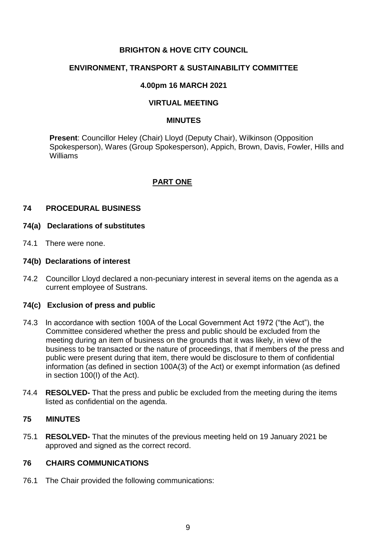# **BRIGHTON & HOVE CITY COUNCIL**

# **ENVIRONMENT, TRANSPORT & SUSTAINABILITY COMMITTEE**

# **4.00pm 16 MARCH 2021**

# **VIRTUAL MEETING**

#### **MINUTES**

**Present**: Councillor Heley (Chair) Lloyd (Deputy Chair), Wilkinson (Opposition Spokesperson), Wares (Group Spokesperson), Appich, Brown, Davis, Fowler, Hills and Williams

# **PART ONE**

### **74 PROCEDURAL BUSINESS**

#### **74(a) Declarations of substitutes**

74.1 There were none.

### **74(b) Declarations of interest**

74.2 Councillor Lloyd declared a non-pecuniary interest in several items on the agenda as a current employee of Sustrans.

# **74(c) Exclusion of press and public**

- 74.3 In accordance with section 100A of the Local Government Act 1972 ("the Act"), the Committee considered whether the press and public should be excluded from the meeting during an item of business on the grounds that it was likely, in view of the business to be transacted or the nature of proceedings, that if members of the press and public were present during that item, there would be disclosure to them of confidential information (as defined in section 100A(3) of the Act) or exempt information (as defined in section 100(I) of the Act).
- 74.4 **RESOLVED-** That the press and public be excluded from the meeting during the items listed as confidential on the agenda.

# **75 MINUTES**

75.1 **RESOLVED-** That the minutes of the previous meeting held on 19 January 2021 be approved and signed as the correct record.

# **76 CHAIRS COMMUNICATIONS**

76.1 The Chair provided the following communications: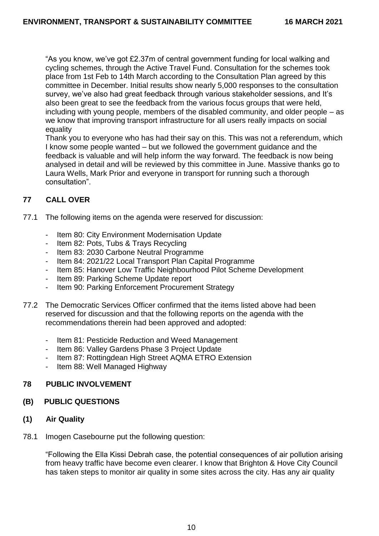"As you know, we've got £2.37m of central government funding for local walking and cycling schemes, through the Active Travel Fund. Consultation for the schemes took place from 1st Feb to 14th March according to the Consultation Plan agreed by this committee in December. Initial results show nearly 5,000 responses to the consultation survey, we've also had great feedback through various stakeholder sessions, and It's also been great to see the feedback from the various focus groups that were held, including with young people, members of the disabled community, and older people – as we know that improving transport infrastructure for all users really impacts on social equality

Thank you to everyone who has had their say on this. This was not a referendum, which I know some people wanted – but we followed the government guidance and the feedback is valuable and will help inform the way forward. The feedback is now being analysed in detail and will be reviewed by this committee in June. Massive thanks go to Laura Wells, Mark Prior and everyone in transport for running such a thorough consultation".

# **77 CALL OVER**

- 77.1 The following items on the agenda were reserved for discussion:
	- Item 80: City Environment Modernisation Update
	- Item 82: Pots, Tubs & Trays Recycling
	- Item 83: 2030 Carbone Neutral Programme
	- Item 84: 2021/22 Local Transport Plan Capital Programme
	- Item 85: Hanover Low Traffic Neighbourhood Pilot Scheme Development
	- Item 89: Parking Scheme Update report
	- Item 90: Parking Enforcement Procurement Strategy
- 77.2 The Democratic Services Officer confirmed that the items listed above had been reserved for discussion and that the following reports on the agenda with the recommendations therein had been approved and adopted:
	- Item 81: Pesticide Reduction and Weed Management
	- Item 86: Valley Gardens Phase 3 Project Update
	- Item 87: Rottingdean High Street AQMA ETRO Extension
	- Item 88: Well Managed Highway

# **78 PUBLIC INVOLVEMENT**

### **(B) PUBLIC QUESTIONS**

- **(1) Air Quality**
- 78.1 Imogen Casebourne put the following question:

"Following the Ella Kissi Debrah case, the potential consequences of air pollution arising from heavy traffic have become even clearer. I know that Brighton & Hove City Council has taken steps to monitor air quality in some sites across the city. Has any air quality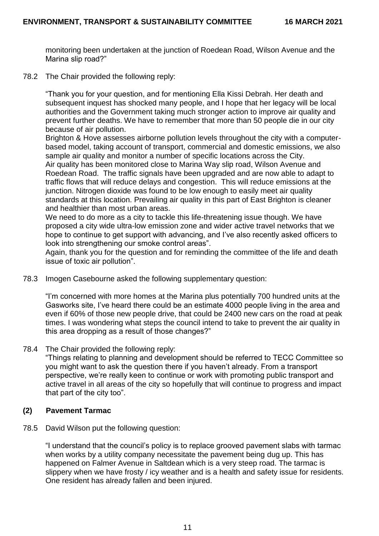monitoring been undertaken at the junction of Roedean Road, Wilson Avenue and the Marina slip road?"

78.2 The Chair provided the following reply:

"Thank you for your question, and for mentioning Ella Kissi Debrah. Her death and subsequent inquest has shocked many people, and I hope that her legacy will be local authorities and the Government taking much stronger action to improve air quality and prevent further deaths. We have to remember that more than 50 people die in our city because of air pollution.

Brighton & Hove assesses airborne pollution levels throughout the city with a computerbased model, taking account of transport, commercial and domestic emissions, we also sample air quality and monitor a number of specific locations across the City. Air quality has been monitored close to Marina Way slip road, Wilson Avenue and Roedean Road. The traffic signals have been upgraded and are now able to adapt to traffic flows that will reduce delays and congestion. This will reduce emissions at the junction. Nitrogen dioxide was found to be low enough to easily meet air quality standards at this location. Prevailing air quality in this part of East Brighton is cleaner and healthier than most urban areas.

We need to do more as a city to tackle this life-threatening issue though. We have proposed a city wide ultra-low emission zone and wider active travel networks that we hope to continue to get support with advancing, and I've also recently asked officers to look into strengthening our smoke control areas".

Again, thank you for the question and for reminding the committee of the life and death issue of toxic air pollution".

78.3 Imogen Casebourne asked the following supplementary question:

"I'm concerned with more homes at the Marina plus potentially 700 hundred units at the Gasworks site, I've heard there could be an estimate 4000 people living in the area and even if 60% of those new people drive, that could be 2400 new cars on the road at peak times. I was wondering what steps the council intend to take to prevent the air quality in this area dropping as a result of those changes?"

78.4 The Chair provided the following reply:

"Things relating to planning and development should be referred to TECC Committee so you might want to ask the question there if you haven't already. From a transport perspective, we're really keen to continue or work with promoting public transport and active travel in all areas of the city so hopefully that will continue to progress and impact that part of the city too".

# **(2) Pavement Tarmac**

78.5 David Wilson put the following question:

"I understand that the council's policy is to replace grooved pavement slabs with tarmac when works by a utility company necessitate the pavement being dug up. This has happened on Falmer Avenue in Saltdean which is a very steep road. The tarmac is slippery when we have frosty / icy weather and is a health and safety issue for residents. One resident has already fallen and been injured.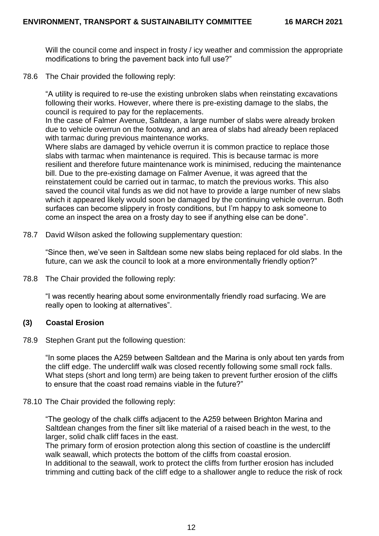Will the council come and inspect in frosty / icy weather and commission the appropriate modifications to bring the pavement back into full use?"

78.6 The Chair provided the following reply:

"A utility is required to re-use the existing unbroken slabs when reinstating excavations following their works. However, where there is pre-existing damage to the slabs, the council is required to pay for the replacements.

In the case of Falmer Avenue, Saltdean, a large number of slabs were already broken due to vehicle overrun on the footway, and an area of slabs had already been replaced with tarmac during previous maintenance works.

Where slabs are damaged by vehicle overrun it is common practice to replace those slabs with tarmac when maintenance is required. This is because tarmac is more resilient and therefore future maintenance work is minimised, reducing the maintenance bill. Due to the pre-existing damage on Falmer Avenue, it was agreed that the reinstatement could be carried out in tarmac, to match the previous works. This also saved the council vital funds as we did not have to provide a large number of new slabs which it appeared likely would soon be damaged by the continuing vehicle overrun. Both surfaces can become slippery in frosty conditions, but I'm happy to ask someone to come an inspect the area on a frosty day to see if anything else can be done".

78.7 David Wilson asked the following supplementary question:

"Since then, we've seen in Saltdean some new slabs being replaced for old slabs. In the future, can we ask the council to look at a more environmentally friendly option?"

78.8 The Chair provided the following reply:

"I was recently hearing about some environmentally friendly road surfacing. We are really open to looking at alternatives".

# **(3) Coastal Erosion**

78.9 Stephen Grant put the following question:

"In some places the A259 between Saltdean and the Marina is only about ten yards from the cliff edge. The undercliff walk was closed recently following some small rock falls. What steps (short and long term) are being taken to prevent further erosion of the cliffs to ensure that the coast road remains viable in the future?"

#### 78.10 The Chair provided the following reply:

"The geology of the chalk cliffs adjacent to the A259 between Brighton Marina and Saltdean changes from the finer silt like material of a raised beach in the west, to the larger, solid chalk cliff faces in the east.

The primary form of erosion protection along this section of coastline is the undercliff walk seawall, which protects the bottom of the cliffs from coastal erosion.

In additional to the seawall, work to protect the cliffs from further erosion has included trimming and cutting back of the cliff edge to a shallower angle to reduce the risk of rock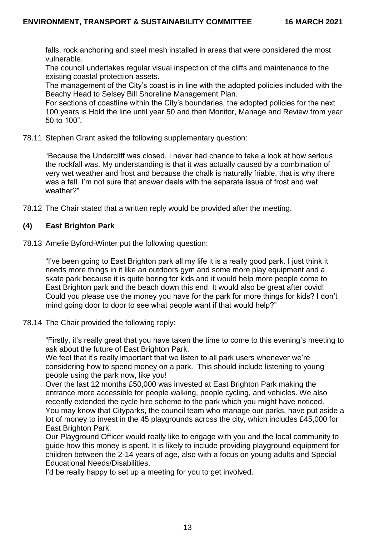falls, rock anchoring and steel mesh installed in areas that were considered the most vulnerable.

The council undertakes regular visual inspection of the cliffs and maintenance to the existing coastal protection assets.

The management of the City's coast is in line with the adopted policies included with the Beachy Head to Selsey Bill Shoreline Management Plan.

For sections of coastline within the City's boundaries, the adopted policies for the next 100 years is Hold the line until year 50 and then Monitor, Manage and Review from year 50 to 100".

78.11 Stephen Grant asked the following supplementary question:

"Because the Undercliff was closed, I never had chance to take a look at how serious the rockfall was. My understanding is that it was actually caused by a combination of very wet weather and frost and because the chalk is naturally friable, that is why there was a fall. I'm not sure that answer deals with the separate issue of frost and wet weather?"

78.12 The Chair stated that a written reply would be provided after the meeting.

# **(4) East Brighton Park**

78.13 Amelie Byford-Winter put the following question:

"I've been going to East Brighton park all my life it is a really good park. I just think it needs more things in it like an outdoors gym and some more play equipment and a skate park because it is quite boring for kids and it would help more people come to East Brighton park and the beach down this end. It would also be great after covid! Could you please use the money you have for the park for more things for kids? I don't mind going door to door to see what people want if that would help?"

78.14 The Chair provided the following reply:

"Firstly, it's really great that you have taken the time to come to this evening's meeting to ask about the future of East Brighton Park.

We feel that it's really important that we listen to all park users whenever we're considering how to spend money on a park. This should include listening to young people using the park now, like you!

Over the last 12 months £50,000 was invested at East Brighton Park making the entrance more accessible for people walking, people cycling, and vehicles. We also recently extended the cycle hire scheme to the park which you might have noticed. You may know that Cityparks, the council team who manage our parks, have put aside a lot of money to invest in the 45 playgrounds across the city, which includes £45,000 for East Brighton Park.

Our Playground Officer would really like to engage with you and the local community to guide how this money is spent. It is likely to include providing playground equipment for children between the 2-14 years of age, also with a focus on young adults and Special Educational Needs/Disabilities.

I'd be really happy to set up a meeting for you to get involved.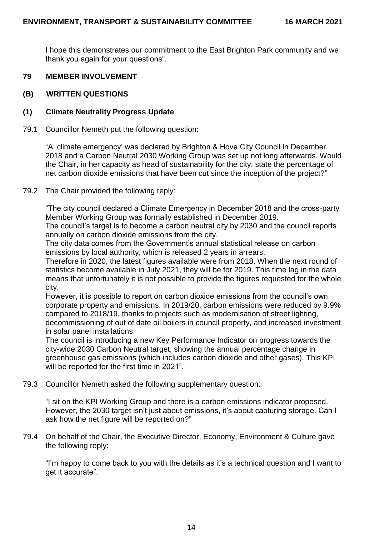I hope this demonstrates our commitment to the East Brighton Park community and we thank you again for your questions".

# **79 MEMBER INVOLVEMENT**

### **(B) WRITTEN QUESTIONS**

### **(1) Climate Neutrality Progress Update**

#### 79.1 Councillor Nemeth put the following question:

"A 'climate emergency' was declared by Brighton & Hove City Council in December 2018 and a Carbon Neutral 2030 Working Group was set up not long afterwards. Would the Chair, in her capacity as head of sustainability for the city, state the percentage of net carbon dioxide emissions that have been cut since the inception of the project?"

### 79.2 The Chair provided the following reply:

"The city council declared a Climate Emergency in December 2018 and the cross-party Member Working Group was formally established in December 2019.

The council's target is to become a carbon neutral city by 2030 and the council reports annually on carbon dioxide emissions from the city.

The city data comes from the Government's annual statistical release on carbon emissions by local authority, which is released 2 years in arrears.

Therefore in 2020, the latest figures available were from 2018. When the next round of statistics become available in July 2021, they will be for 2019. This time lag in the data means that unfortunately it is not possible to provide the figures requested for the whole city.

However, it is possible to report on carbon dioxide emissions from the council's own corporate property and emissions. In 2019/20, carbon emissions were reduced by 9.9% compared to 2018/19, thanks to projects such as modernisation of street lighting, decommissioning of out of date oil boilers in council property, and increased investment in solar panel installations.

The council is introducing a new Key Performance Indicator on progress towards the city-wide 2030 Carbon Neutral target, showing the annual percentage change in greenhouse gas emissions (which includes carbon dioxide and other gases). This KPI will be reported for the first time in 2021".

79.3 Councillor Nemeth asked the following supplementary question:

"I sit on the KPI Working Group and there is a carbon emissions indicator proposed. However, the 2030 target isn't just about emissions, it's about capturing storage. Can I ask how the net figure will be reported on?"

79.4 On behalf of the Chair, the Executive Director, Economy, Environment & Culture gave the following reply:

"I'm happy to come back to you with the details as it's a technical question and I want to get it accurate".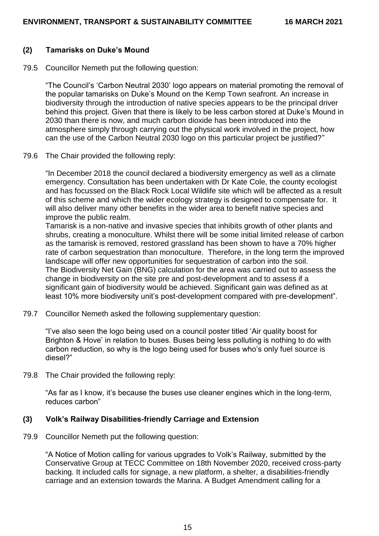# **(2) Tamarisks on Duke's Mound**

79.5 Councillor Nemeth put the following question:

"The Council's 'Carbon Neutral 2030' logo appears on material promoting the removal of the popular tamarisks on Duke's Mound on the Kemp Town seafront. An increase in biodiversity through the introduction of native species appears to be the principal driver behind this project. Given that there is likely to be less carbon stored at Duke's Mound in 2030 than there is now, and much carbon dioxide has been introduced into the atmosphere simply through carrying out the physical work involved in the project, how can the use of the Carbon Neutral 2030 logo on this particular project be justified?"

79.6 The Chair provided the following reply:

"In December 2018 the council declared a biodiversity emergency as well as a climate emergency. Consultation has been undertaken with Dr Kate Cole, the county ecologist and has focussed on the Black Rock Local Wildlife site which will be affected as a result of this scheme and which the wider ecology strategy is designed to compensate for. It will also deliver many other benefits in the wider area to benefit native species and improve the public realm.

Tamarisk is a non-native and invasive species that inhibits growth of other plants and shrubs, creating a monoculture. Whilst there will be some initial limited release of carbon as the tamarisk is removed, restored grassland has been shown to have a 70% higher rate of carbon sequestration than monoculture. Therefore, in the long term the improved landscape will offer new opportunities for sequestration of carbon into the soil. The Biodiversity Net Gain (BNG) calculation for the area was carried out to assess the change in biodiversity on the site pre and post-development and to assess if a significant gain of biodiversity would be achieved. Significant gain was defined as at least 10% more biodiversity unit's post-development compared with pre-development".

79.7 Councillor Nemeth asked the following supplementary question:

"I've also seen the logo being used on a council poster titled 'Air quality boost for Brighton & Hove' in relation to buses. Buses being less polluting is nothing to do with carbon reduction, so why is the logo being used for buses who's only fuel source is diesel?"

79.8 The Chair provided the following reply:

"As far as I know, it's because the buses use cleaner engines which in the long-term, reduces carbon"

#### **(3) Volk's Railway Disabilities-friendly Carriage and Extension**

79.9 Councillor Nemeth put the following question:

"A Notice of Motion calling for various upgrades to Volk's Railway, submitted by the Conservative Group at TECC Committee on 18th November 2020, received cross-party backing. It included calls for signage, a new platform, a shelter, a disabilities-friendly carriage and an extension towards the Marina. A Budget Amendment calling for a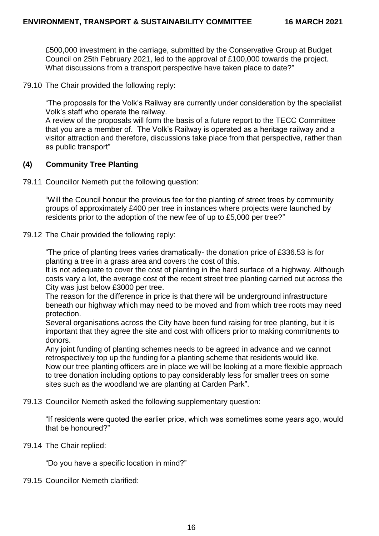£500,000 investment in the carriage, submitted by the Conservative Group at Budget Council on 25th February 2021, led to the approval of £100,000 towards the project. What discussions from a transport perspective have taken place to date?"

79.10 The Chair provided the following reply:

"The proposals for the Volk's Railway are currently under consideration by the specialist Volk's staff who operate the railway.

A review of the proposals will form the basis of a future report to the TECC Committee that you are a member of. The Volk's Railway is operated as a heritage railway and a visitor attraction and therefore, discussions take place from that perspective, rather than as public transport"

# **(4) Community Tree Planting**

79.11 Councillor Nemeth put the following question:

"Will the Council honour the previous fee for the planting of street trees by community groups of approximately £400 per tree in instances where projects were launched by residents prior to the adoption of the new fee of up to £5,000 per tree?"

### 79.12 The Chair provided the following reply:

"The price of planting trees varies dramatically- the donation price of £336.53 is for planting a tree in a grass area and covers the cost of this.

It is not adequate to cover the cost of planting in the hard surface of a highway. Although costs vary a lot, the average cost of the recent street tree planting carried out across the City was just below £3000 per tree.

The reason for the difference in price is that there will be underground infrastructure beneath our highway which may need to be moved and from which tree roots may need protection.

Several organisations across the City have been fund raising for tree planting, but it is important that they agree the site and cost with officers prior to making commitments to donors.

Any joint funding of planting schemes needs to be agreed in advance and we cannot retrospectively top up the funding for a planting scheme that residents would like. Now our tree planting officers are in place we will be looking at a more flexible approach to tree donation including options to pay considerably less for smaller trees on some sites such as the woodland we are planting at Carden Park".

79.13 Councillor Nemeth asked the following supplementary question:

"If residents were quoted the earlier price, which was sometimes some years ago, would that be honoured?"

79.14 The Chair replied:

"Do you have a specific location in mind?"

79.15 Councillor Nemeth clarified: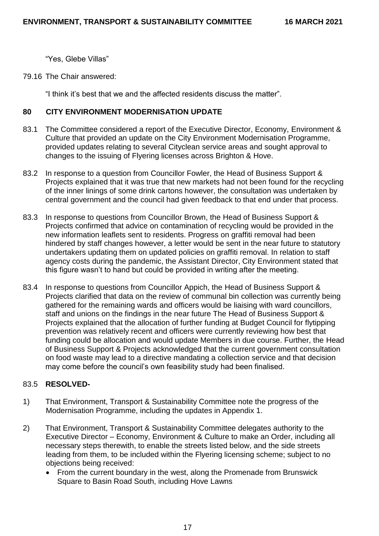"Yes, Glebe Villas"

79.16 The Chair answered:

"I think it's best that we and the affected residents discuss the matter".

# **80 CITY ENVIRONMENT MODERNISATION UPDATE**

- 83.1 The Committee considered a report of the Executive Director, Economy, Environment & Culture that provided an update on the City Environment Modernisation Programme, provided updates relating to several Cityclean service areas and sought approval to changes to the issuing of Flyering licenses across Brighton & Hove.
- 83.2 In response to a question from Councillor Fowler, the Head of Business Support & Projects explained that it was true that new markets had not been found for the recycling of the inner linings of some drink cartons however, the consultation was undertaken by central government and the council had given feedback to that end under that process.
- 83.3 In response to questions from Councillor Brown, the Head of Business Support & Projects confirmed that advice on contamination of recycling would be provided in the new information leaflets sent to residents. Progress on graffiti removal had been hindered by staff changes however, a letter would be sent in the near future to statutory undertakers updating them on updated policies on graffiti removal. In relation to staff agency costs during the pandemic, the Assistant Director, City Environment stated that this figure wasn't to hand but could be provided in writing after the meeting.
- 83.4 In response to questions from Councillor Appich, the Head of Business Support & Projects clarified that data on the review of communal bin collection was currently being gathered for the remaining wards and officers would be liaising with ward councillors, staff and unions on the findings in the near future The Head of Business Support & Projects explained that the allocation of further funding at Budget Council for flytipping prevention was relatively recent and officers were currently reviewing how best that funding could be allocation and would update Members in due course. Further, the Head of Business Support & Projects acknowledged that the current government consultation on food waste may lead to a directive mandating a collection service and that decision may come before the council's own feasibility study had been finalised.

# 83.5 **RESOLVED-**

- 1) That Environment, Transport & Sustainability Committee note the progress of the Modernisation Programme, including the updates in Appendix 1.
- 2) That Environment, Transport & Sustainability Committee delegates authority to the Executive Director – Economy, Environment & Culture to make an Order, including all necessary steps therewith, to enable the streets listed below, and the side streets leading from them, to be included within the Flyering licensing scheme; subject to no objections being received:
	- From the current boundary in the west, along the Promenade from Brunswick Square to Basin Road South, including Hove Lawns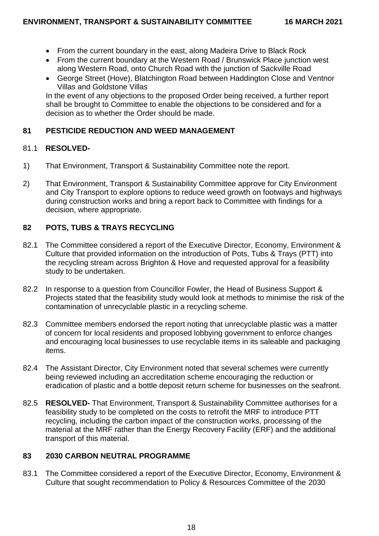- From the current boundary in the east, along Madeira Drive to Black Rock
- From the current boundary at the Western Road / Brunswick Place junction west along Western Road, onto Church Road with the junction of Sackville Road
- George Street (Hove), Blatchington Road between Haddington Close and Ventnor Villas and Goldstone Villas

In the event of any objections to the proposed Order being received, a further report shall be brought to Committee to enable the objections to be considered and for a decision as to whether the Order should be made.

# **81 PESTICIDE REDUCTION AND WEED MANAGEMENT**

# 81.1 **RESOLVED-**

- 1) That Environment, Transport & Sustainability Committee note the report.
- 2) That Environment, Transport & Sustainability Committee approve for City Environment and City Transport to explore options to reduce weed growth on footways and highways during construction works and bring a report back to Committee with findings for a decision, where appropriate.

# **82 POTS, TUBS & TRAYS RECYCLING**

- 82.1 The Committee considered a report of the Executive Director, Economy, Environment & Culture that provided information on the introduction of Pots, Tubs & Trays (PTT) into the recycling stream across Brighton & Hove and requested approval for a feasibility study to be undertaken.
- 82.2 In response to a question from Councillor Fowler, the Head of Business Support & Projects stated that the feasibility study would look at methods to minimise the risk of the contamination of unrecyclable plastic in a recycling scheme.
- 82.3 Committee members endorsed the report noting that unrecyclable plastic was a matter of concern for local residents and proposed lobbying government to enforce changes and encouraging local businesses to use recyclable items in its saleable and packaging items.
- 82.4 The Assistant Director, City Environment noted that several schemes were currently being reviewed including an accreditation scheme encouraging the reduction or eradication of plastic and a bottle deposit return scheme for businesses on the seafront.
- 82.5 **RESOLVED-** That Environment, Transport & Sustainability Committee authorises for a feasibility study to be completed on the costs to retrofit the MRF to introduce PTT recycling, including the carbon impact of the construction works, processing of the material at the MRF rather than the Energy Recovery Facility (ERF) and the additional transport of this material.

# **83 2030 CARBON NEUTRAL PROGRAMME**

83.1 The Committee considered a report of the Executive Director, Economy, Environment & Culture that sought recommendation to Policy & Resources Committee of the 2030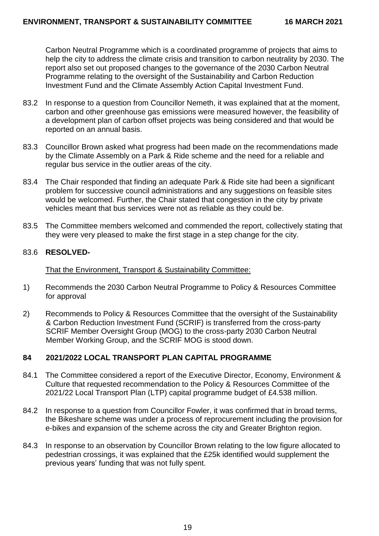Carbon Neutral Programme which is a coordinated programme of projects that aims to help the city to address the climate crisis and transition to carbon neutrality by 2030. The report also set out proposed changes to the governance of the 2030 Carbon Neutral Programme relating to the oversight of the Sustainability and Carbon Reduction Investment Fund and the Climate Assembly Action Capital Investment Fund.

- 83.2 In response to a question from Councillor Nemeth, it was explained that at the moment, carbon and other greenhouse gas emissions were measured however, the feasibility of a development plan of carbon offset projects was being considered and that would be reported on an annual basis.
- 83.3 Councillor Brown asked what progress had been made on the recommendations made by the Climate Assembly on a Park & Ride scheme and the need for a reliable and regular bus service in the outlier areas of the city.
- 83.4 The Chair responded that finding an adequate Park & Ride site had been a significant problem for successive council administrations and any suggestions on feasible sites would be welcomed. Further, the Chair stated that congestion in the city by private vehicles meant that bus services were not as reliable as they could be.
- 83.5 The Committee members welcomed and commended the report, collectively stating that they were very pleased to make the first stage in a step change for the city.

# 83.6 **RESOLVED-**

That the Environment, Transport & Sustainability Committee:

- 1) Recommends the 2030 Carbon Neutral Programme to Policy & Resources Committee for approval
- 2) Recommends to Policy & Resources Committee that the oversight of the Sustainability & Carbon Reduction Investment Fund (SCRIF) is transferred from the cross-party SCRIF Member Oversight Group (MOG) to the cross-party 2030 Carbon Neutral Member Working Group, and the SCRIF MOG is stood down.

# **84 2021/2022 LOCAL TRANSPORT PLAN CAPITAL PROGRAMME**

- 84.1 The Committee considered a report of the Executive Director, Economy, Environment & Culture that requested recommendation to the Policy & Resources Committee of the 2021/22 Local Transport Plan (LTP) capital programme budget of £4.538 million.
- 84.2 In response to a question from Councillor Fowler, it was confirmed that in broad terms, the Bikeshare scheme was under a process of reprocurement including the provision for e-bikes and expansion of the scheme across the city and Greater Brighton region.
- 84.3 In response to an observation by Councillor Brown relating to the low figure allocated to pedestrian crossings, it was explained that the £25k identified would supplement the previous years' funding that was not fully spent.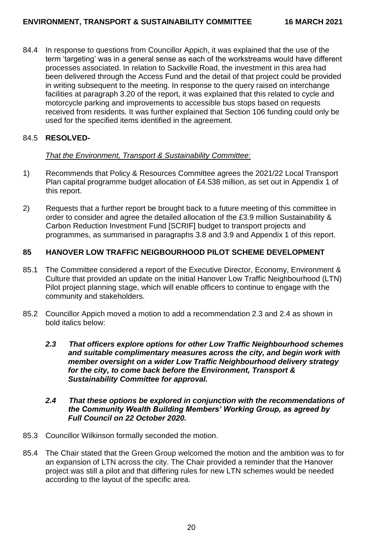84.4 In response to questions from Councillor Appich, it was explained that the use of the term 'targeting' was in a general sense as each of the workstreams would have different processes associated. In relation to Sackville Road, the investment in this area had been delivered through the Access Fund and the detail of that project could be provided in writing subsequent to the meeting. In response to the query raised on interchange facilities at paragraph 3.20 of the report, it was explained that this related to cycle and motorcycle parking and improvements to accessible bus stops based on requests received from residents. It was further explained that Section 106 funding could only be used for the specified items identified in the agreement.

# 84.5 **RESOLVED-**

# *That the Environment, Transport & Sustainability Committee:*

- 1) Recommends that Policy & Resources Committee agrees the 2021/22 Local Transport Plan capital programme budget allocation of £4.538 million, as set out in Appendix 1 of this report.
- 2) Requests that a further report be brought back to a future meeting of this committee in order to consider and agree the detailed allocation of the £3.9 million Sustainability & Carbon Reduction Investment Fund [SCRIF] budget to transport projects and programmes, as summarised in paragraphs 3.8 and 3.9 and Appendix 1 of this report.

# **85 HANOVER LOW TRAFFIC NEIGBOURHOOD PILOT SCHEME DEVELOPMENT**

- 85.1 The Committee considered a report of the Executive Director, Economy, Environment & Culture that provided an update on the initial Hanover Low Traffic Neighbourhood (LTN) Pilot project planning stage, which will enable officers to continue to engage with the community and stakeholders.
- 85.2 Councillor Appich moved a motion to add a recommendation 2.3 and 2.4 as shown in bold italics below:
	- *2.3 That officers explore options for other Low Traffic Neighbourhood schemes and suitable complimentary measures across the city, and begin work with member oversight on a wider Low Traffic Neighbourhood delivery strategy for the city, to come back before the Environment, Transport & Sustainability Committee for approval.*

### *2.4 That these options be explored in conjunction with the recommendations of the Community Wealth Building Members' Working Group, as agreed by Full Council on 22 October 2020.*

- 85.3 Councillor Wilkinson formally seconded the motion.
- 85.4 The Chair stated that the Green Group welcomed the motion and the ambition was to for an expansion of LTN across the city. The Chair provided a reminder that the Hanover project was still a pilot and that differing rules for new LTN schemes would be needed according to the layout of the specific area.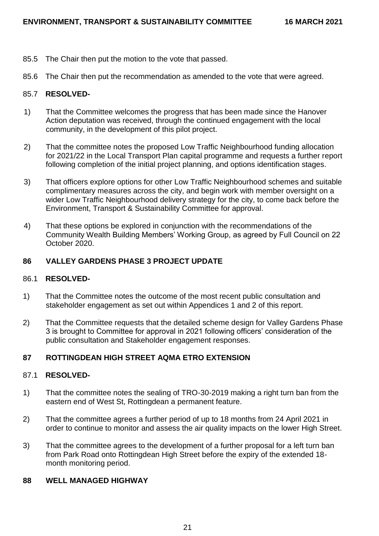- 85.5 The Chair then put the motion to the vote that passed.
- 85.6 The Chair then put the recommendation as amended to the vote that were agreed.

### 85.7 **RESOLVED-**

- 1) That the Committee welcomes the progress that has been made since the Hanover Action deputation was received, through the continued engagement with the local community, in the development of this pilot project.
- 2) That the committee notes the proposed Low Traffic Neighbourhood funding allocation for 2021/22 in the Local Transport Plan capital programme and requests a further report following completion of the initial project planning, and options identification stages.
- 3) That officers explore options for other Low Traffic Neighbourhood schemes and suitable complimentary measures across the city, and begin work with member oversight on a wider Low Traffic Neighbourhood delivery strategy for the city, to come back before the Environment, Transport & Sustainability Committee for approval.
- 4) That these options be explored in conjunction with the recommendations of the Community Wealth Building Members' Working Group, as agreed by Full Council on 22 October 2020.

### **86 VALLEY GARDENS PHASE 3 PROJECT UPDATE**

### 86.1 **RESOLVED-**

- 1) That the Committee notes the outcome of the most recent public consultation and stakeholder engagement as set out within Appendices 1 and 2 of this report.
- 2) That the Committee requests that the detailed scheme design for Valley Gardens Phase 3 is brought to Committee for approval in 2021 following officers' consideration of the public consultation and Stakeholder engagement responses.

# **87 ROTTINGDEAN HIGH STREET AQMA ETRO EXTENSION**

#### 87.1 **RESOLVED-**

- 1) That the committee notes the sealing of TRO-30-2019 making a right turn ban from the eastern end of West St, Rottingdean a permanent feature.
- 2) That the committee agrees a further period of up to 18 months from 24 April 2021 in order to continue to monitor and assess the air quality impacts on the lower High Street.
- 3) That the committee agrees to the development of a further proposal for a left turn ban from Park Road onto Rottingdean High Street before the expiry of the extended 18 month monitoring period.

#### **88 WELL MANAGED HIGHWAY**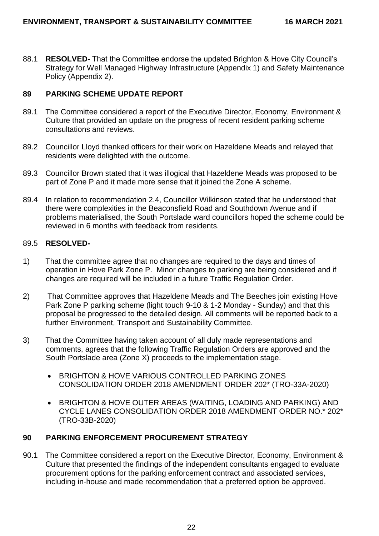88.1 **RESOLVED-** That the Committee endorse the updated Brighton & Hove City Council's Strategy for Well Managed Highway Infrastructure (Appendix 1) and Safety Maintenance Policy (Appendix 2).

# **89 PARKING SCHEME UPDATE REPORT**

- 89.1 The Committee considered a report of the Executive Director, Economy, Environment & Culture that provided an update on the progress of recent resident parking scheme consultations and reviews.
- 89.2 Councillor Lloyd thanked officers for their work on Hazeldene Meads and relayed that residents were delighted with the outcome.
- 89.3 Councillor Brown stated that it was illogical that Hazeldene Meads was proposed to be part of Zone P and it made more sense that it joined the Zone A scheme.
- 89.4 In relation to recommendation 2.4, Councillor Wilkinson stated that he understood that there were complexities in the Beaconsfield Road and Southdown Avenue and if problems materialised, the South Portslade ward councillors hoped the scheme could be reviewed in 6 months with feedback from residents.

# 89.5 **RESOLVED-**

- 1) That the committee agree that no changes are required to the days and times of operation in Hove Park Zone P. Minor changes to parking are being considered and if changes are required will be included in a future Traffic Regulation Order.
- 2) That Committee approves that Hazeldene Meads and The Beeches join existing Hove Park Zone P parking scheme (light touch 9-10 & 1-2 Monday - Sunday) and that this proposal be progressed to the detailed design. All comments will be reported back to a further Environment, Transport and Sustainability Committee.
- 3) That the Committee having taken account of all duly made representations and comments, agrees that the following Traffic Regulation Orders are approved and the South Portslade area (Zone X) proceeds to the implementation stage.
	- **BRIGHTON & HOVE VARIOUS CONTROLLED PARKING ZONES** CONSOLIDATION ORDER 2018 AMENDMENT ORDER 202\* (TRO-33A-2020)
	- BRIGHTON & HOVE OUTER AREAS (WAITING, LOADING AND PARKING) AND CYCLE LANES CONSOLIDATION ORDER 2018 AMENDMENT ORDER NO.\* 202\* (TRO-33B-2020)

# **90 PARKING ENFORCEMENT PROCUREMENT STRATEGY**

90.1 The Committee considered a report on the Executive Director, Economy, Environment & Culture that presented the findings of the independent consultants engaged to evaluate procurement options for the parking enforcement contract and associated services, including in-house and made recommendation that a preferred option be approved.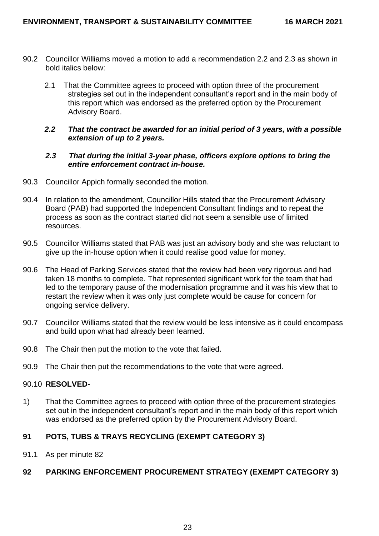- 90.2 Councillor Williams moved a motion to add a recommendation 2.2 and 2.3 as shown in bold italics below:
	- 2.1 That the Committee agrees to proceed with option three of the procurement strategies set out in the independent consultant's report and in the main body of this report which was endorsed as the preferred option by the Procurement Advisory Board.

# *2.2 That the contract be awarded for an initial period of 3 years, with a possible extension of up to 2 years.*

### *2.3 That during the initial 3-year phase, officers explore options to bring the entire enforcement contract in-house.*

- 90.3 Councillor Appich formally seconded the motion.
- 90.4 In relation to the amendment, Councillor Hills stated that the Procurement Advisory Board (PAB) had supported the Independent Consultant findings and to repeat the process as soon as the contract started did not seem a sensible use of limited resources.
- 90.5 Councillor Williams stated that PAB was just an advisory body and she was reluctant to give up the in-house option when it could realise good value for money.
- 90.6 The Head of Parking Services stated that the review had been very rigorous and had taken 18 months to complete. That represented significant work for the team that had led to the temporary pause of the modernisation programme and it was his view that to restart the review when it was only just complete would be cause for concern for ongoing service delivery.
- 90.7 Councillor Williams stated that the review would be less intensive as it could encompass and build upon what had already been learned.
- 90.8 The Chair then put the motion to the vote that failed.
- 90.9 The Chair then put the recommendations to the vote that were agreed.

# 90.10 **RESOLVED-**

1) That the Committee agrees to proceed with option three of the procurement strategies set out in the independent consultant's report and in the main body of this report which was endorsed as the preferred option by the Procurement Advisory Board.

# **91 POTS, TUBS & TRAYS RECYCLING (EXEMPT CATEGORY 3)**

91.1 As per minute 82

# **92 PARKING ENFORCEMENT PROCUREMENT STRATEGY (EXEMPT CATEGORY 3)**